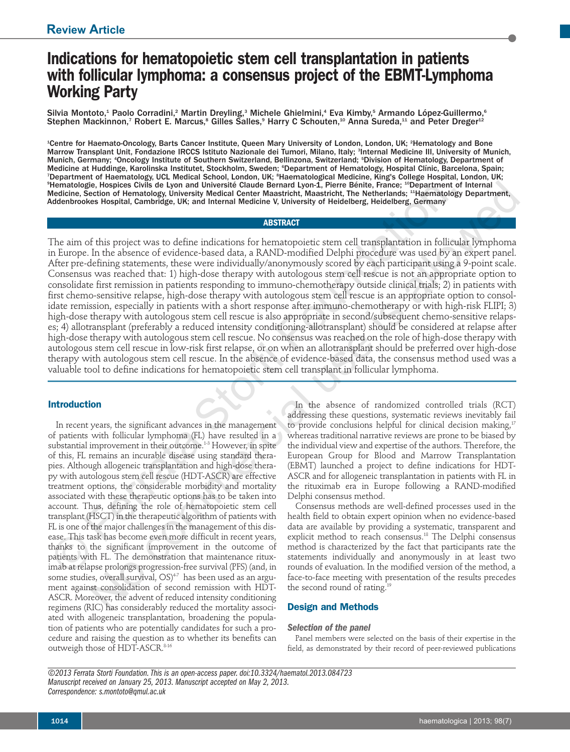# **Indications for hematopoietic stem cell transplantation in patients with follicular lymphoma: a consensus project of the EBMT-Lymphoma Working Party**

Silvia Montoto,<sup>1</sup> Paolo Corradini,<sup>2</sup> Martin Dreyling,<sup>3</sup> Michele Ghielmini,<sup>4</sup> Eva Kimby,<sup>5</sup> Armando López-Guillermo,<sup>6</sup> Stephen Mackinnon,<sup>7</sup> Robert E. Marcus,<sup>8</sup> Gilles Salles,<sup>8</sup> Harry C Schouten,<sup>10</sup> Anna Sureda,<sup>11</sup> and Peter Dreger<sup>12</sup>

1 Centre for Haemato-Oncology, Barts Cancer Institute, Queen Mary University of London, London, UK; 2 Hematology and Bone Marrow Transplant Unit, Fondazione IRCCS Istituto Nazionale dei Tumori, Milano, Italy; <sup>3</sup>Internal Medicine III, University of Munich, Munich, Germany; <sup>4</sup>Oncology Institute of Southern Switzerland, Bellinzona, Switzerland; <sup>5</sup>Division of Hematology, Department of Medicine at Huddinge, Karolinska Institutet, Stockholm, Sweden; <sup>6</sup>Department of Hematology, Hospital Clínic, Barcelona, Spain; <sup>7</sup>Department of Haematology, UCL Medical School, London, UK; <sup>s</sup>Haematological Medicine, King's College Hospital, London, UK; 9 Hematologie, Hospices Civils de Lyon and Université Claude Bernard Lyon-1, Pierre Bénite, France; 10Department of Internal Medicine, Section of Hematology, University Medical Center Maastricht, Maastricht, The Netherlands; <sup>11</sup>Haematology Department, Addenbrookes Hospital, Cambridge, UK; and Internal Medicine V, University of Heidelberg, Heidelberg, Germany

# **ABSTRACT**

The aim of this project was to define indications for hematopoietic stem cell transplantation in follicular lymphoma in Europe. In the absence of evidence-based data, a RAND-modified Delphi procedure was used by an expert panel. After pre-defining statements, these were individually/anonymously scored by each participant using a 9-point scale. Consensus was reached that: 1) high-dose therapy with autologous stem cell rescue is not an appropriate option to consolidate first remission in patients responding to immuno-chemotherapy outside clinical trials; 2) in patients with first chemo-sensitive relapse, high-dose therapy with autologous stem cell rescue is an appropriate option to consolidate remission, especially in patients with a short response after immuno-chemotherapy or with high-risk FLIPI; 3) high-dose therapy with autologous stem cell rescue is also appropriate in second/subsequent chemo-sensitive relapses; 4) allotransplant (preferably a reduced intensity conditioning-allotransplant) should be considered at relapse after high-dose therapy with autologous stem cell rescue. No consensus was reached on the role of high-dose therapy with autologous stem cell rescue in low-risk first relapse, or on when an allotransplant should be preferred over high-dose therapy with autologous stem cell rescue. In the absence of evidence-based data, the consensus method used was a valuable tool to define indications for hematopoietic stem cell transplant in follicular lymphoma. Mentellogie, Heapless Dubi de Lyon and Unbreatite Glaude Bennett Lyon (1, Pierre Bénite, Fanne, Pierre Honder, The any of the matter of the matter of the matter of the storting of the storting of the storting of the storti In Henricos Coid in the commention of the comment is an extent of the proposition of the media user and the state of the state of the state of the state of the state of the state of the state of the state of the state of

# **Introduction**

In recent years, the significant advances in the management of patients with follicular lymphoma (FL) have resulted in a substantial improvement in their outcome.1-3 However, in spite of this, FL remains an incurable disease using standard therapies. Although allogeneic transplantation and high-dose therapy with autologous stem cell rescue (HDT-ASCR) are effective treatment options, the considerable morbidity and mortality associated with these therapeutic options has to be taken into account. Thus, defining the role of hematopoietic stem cell transplant (HSCT) in the therapeutic algorithm of patients with FL is one of the major challenges in the management of this disease. This task has become even more difficult in recent years, thanks to the significant improvement in the outcome of patients with FL. The demonstration that maintenance rituximab at relapse prolongs progression-free survival (PFS) (and, in some studies, overall survival, OS)<sup>47</sup> has been used as an argument against consolidation of second remission with HDT-ASCR. Moreover, the advent of reduced intensity conditioning regimens (RIC) has considerably reduced the mortality associated with allogeneic transplantation, broadening the population of patients who are potentially candidates for such a procedure and raising the question as to whether its benefits can outweigh those of HDT-ASCR.<sup>8-16</sup>

In the absence of randomized controlled trials (RCT) addressing these questions, systematic reviews inevitably fail to provide conclusions helpful for clinical decision making,<sup>17</sup> whereas traditional narrative reviews are prone to be biased by the individual view and expertise of the authors. Therefore, the European Group for Blood and Marrow Transplantation (EBMT) launched a project to define indications for HDT-ASCR and for allogeneic transplantation in patients with FL in the rituximab era in Europe following a RAND-modified Delphi consensus method.

Consensus methods are well-defined processes used in the health field to obtain expert opinion when no evidence-based data are available by providing a systematic, transparent and explicit method to reach consensus.<sup>18</sup> The Delphi consensus method is characterized by the fact that participants rate the statements individually and anonymously in at least two rounds of evaluation. In the modified version of the method, a face-to-face meeting with presentation of the results precedes the second round of rating.<sup>19</sup>

# **Design and Methods**

# *Selection of the panel*

Panel members were selected on the basis of their expertise in the field, as demonstrated by their record of peer-reviewed publications

*©2013 Ferrata Storti Foundation. This is an open-access paper. doi:10.3324/haematol.2013.084723 Manuscript received on January 25, 2013. Manuscript accepted on May 2, 2013. Correspondence: s.montoto@qmul.ac.uk*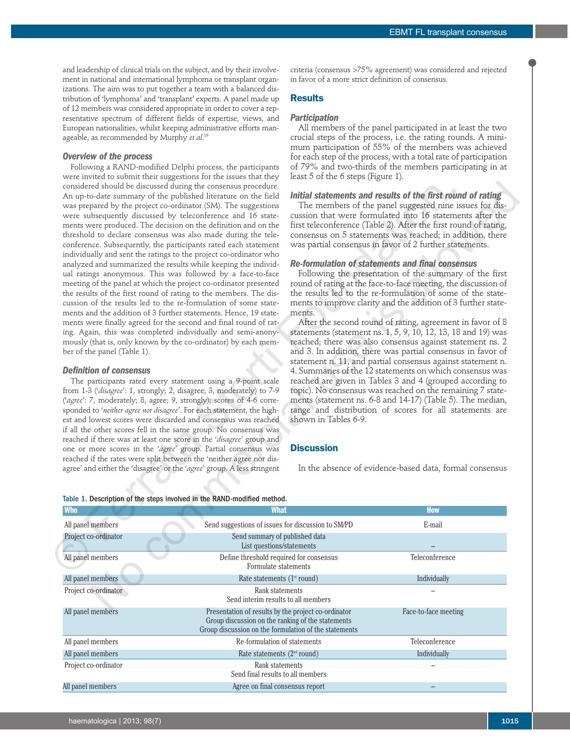and leadership of clinical trials on the subject, and by their involvement in national and international lymphoma or transplant organizations. The aim was to put together a team with a balanced distribution of 'lymphoma' and 'transplant' experts. A panel made up of 12 members was considered appropriate in order to cover a representative spectrum of different fields of expertise, views, and European nationalities, whilst keeping administrative efforts manageable, as recommended by Murphy *et al*. 19

## *Overview of the process*

Following a RAND-modified Delphi process, the participants were invited to submit their suggestions for the issues that they considered should be discussed during the consensus procedure. An up-to-date summary of the published literature on the field was prepared by the project co-ordinator (SM). The suggestions were subsequently discussed by teleconference and 16 statements were produced. The decision on the definition and on the threshold to declare consensus was also made during the teleconference. Subsequently, the participants rated each statement individually and sent the ratings to the project co-ordinator who analyzed and summarized the results while keeping the individual ratings anonymous. This was followed by a face-to-face meeting of the panel at which the project co-ordinator presented the results of the first round of rating to the members. The discussion of the results led to the re-formulation of some statements and the addition of 3 further statements. Hence, 19 statements were finally agreed for the second and final round of rating. Again, this was completed individually and semi-anonymously (that is, only known by the co-ordinator) by each member of the panel (Table 1). considered about be discussed of<br>the pelating the consensus procedure. One of the pelating the consensus procedure. The pelating of the pelating of the pelating of the pelating of the pelating of the pelating of the pelat

# *Definition of consensus*

criteria (consensus >75% agreement) was considered and rejected in favor of a more strict definition of consensus.

# **Results**

#### *Participation*

All members of the panel participated in at least the two crucial steps of the process, i.e. the rating rounds. A minimum participation of 55% of the members was achieved for each step of the process, with a total rate of participation of 79% and two-thirds of the members participating in at least 5 of the 6 steps (Figure 1).

# *Initial statements and results of the first round of rating*

# *Re-formulation of statements and final consensus*

# **Discussion**

| considered should be discussed during the consensus procedure.<br>An up-to-date summary of the published literature on the field<br>was prepared by the project co-ordinator (SM). The suggestions<br>were subsequently discussed by teleconference and 16 state-<br>ments were produced. The decision on the definition and on the<br>threshold to declare consensus was also made during the tele-<br>conference. Subsequently, the participants rated each statement<br>individually and sent the ratings to the project co-ordinator who<br>analyzed and summarized the results while keeping the individ-<br>ual ratings anonymous. This was followed by a face-to-face<br>meeting of the panel at which the project co-ordinator presented<br>the results of the first round of rating to the members. The dis-<br>cussion of the results led to the re-formulation of some state-<br>ments and the addition of 3 further statements. Hence, 19 state-<br>ments were finally agreed for the second and final round of rat-<br>ing. Again, this was completed individually and semi-anony-<br>mously (that is, only known by the co-ordinator) by each mem-<br>ber of the panel (Table 1).<br><b>Definition of consensus</b><br>The participants rated every statement using a 9-point scale<br>from 1-3 ('disagree': 1, strongly; 2, disagree; 3, moderately) to 7-9<br>('agree': 7, moderately; 8, agree; 9, strongly); scores of 4-6 corre-<br>sponded to 'neither agree nor disagree'. For each statement, the high-<br>est and lowest scores were discarded and consensus was reached<br>if all the other scores fell in the same group. No consensus was<br>reached if there was at least one score in the 'disagree' group and<br>one or more scores in the 'agree' group. Partial consensus was<br>reached if the rates were split between the 'neither agree nor dis-<br>agree' and either the 'disagree' or the 'agree' group. A less stringent |                                                                                                                                                                   | Initial statements and results of the first round of rating<br>The members of the panel suggested nine issues for dis-<br>cussion that were formulated into 16 statements after the<br>first teleconference (Table 2). After the first round of rating,<br>consensus on 5 statements was reached; in addition, there<br>was partial consensus in favor of 2 further statements.<br><b>Re-formulation of statements and final consensus</b><br>Following the presentation of the summary of the first<br>round of rating at the face-to-face meeting, the discussion of<br>the results led to the re-formulation of some of the state-<br>ments to improve clarity and the addition of 3 further state-<br>ments.<br>After the second round of rating, agreement in favor of 8<br>statements (statement ns. $1, 5, 9, 10, 12, 13, 18$ and 19) was<br>reached; there was also consensus against statement ns. 2<br>and 3. In addition, there was partial consensus in favor of<br>statement n. 11, and partial consensus against statement n.<br>4. Summaries of the 12 statements on which consensus was<br>reached are given in Tables 3 and 4 (grouped according to<br>topic). No consensus was reached on the remaining 7 state-<br>ments (statement ns. 6-8 and 14-17) (Table 5). The median,<br>range and distribution of scores for all statements are<br>shown in Tables 6-9.<br><b>Discussion</b><br>In the absence of evidence-based data, formal consensus |                      |  |  |  |
|----------------------------------------------------------------------------------------------------------------------------------------------------------------------------------------------------------------------------------------------------------------------------------------------------------------------------------------------------------------------------------------------------------------------------------------------------------------------------------------------------------------------------------------------------------------------------------------------------------------------------------------------------------------------------------------------------------------------------------------------------------------------------------------------------------------------------------------------------------------------------------------------------------------------------------------------------------------------------------------------------------------------------------------------------------------------------------------------------------------------------------------------------------------------------------------------------------------------------------------------------------------------------------------------------------------------------------------------------------------------------------------------------------------------------------------------------------------------------------------------------------------------------------------------------------------------------------------------------------------------------------------------------------------------------------------------------------------------------------------------------------------------------------------------------------------------------------------------------------------------------------------------------------------------------------------------------------------|-------------------------------------------------------------------------------------------------------------------------------------------------------------------|---------------------------------------------------------------------------------------------------------------------------------------------------------------------------------------------------------------------------------------------------------------------------------------------------------------------------------------------------------------------------------------------------------------------------------------------------------------------------------------------------------------------------------------------------------------------------------------------------------------------------------------------------------------------------------------------------------------------------------------------------------------------------------------------------------------------------------------------------------------------------------------------------------------------------------------------------------------------------------------------------------------------------------------------------------------------------------------------------------------------------------------------------------------------------------------------------------------------------------------------------------------------------------------------------------------------------------------------------------------------------------------------------------------------------------------------------------------------|----------------------|--|--|--|
| Table 1. Description of the steps involved in the RAND-modified method.                                                                                                                                                                                                                                                                                                                                                                                                                                                                                                                                                                                                                                                                                                                                                                                                                                                                                                                                                                                                                                                                                                                                                                                                                                                                                                                                                                                                                                                                                                                                                                                                                                                                                                                                                                                                                                                                                        |                                                                                                                                                                   |                                                                                                                                                                                                                                                                                                                                                                                                                                                                                                                                                                                                                                                                                                                                                                                                                                                                                                                                                                                                                                                                                                                                                                                                                                                                                                                                                                                                                                                                     |                      |  |  |  |
| <b>Who</b>                                                                                                                                                                                                                                                                                                                                                                                                                                                                                                                                                                                                                                                                                                                                                                                                                                                                                                                                                                                                                                                                                                                                                                                                                                                                                                                                                                                                                                                                                                                                                                                                                                                                                                                                                                                                                                                                                                                                                     | <b>What</b>                                                                                                                                                       |                                                                                                                                                                                                                                                                                                                                                                                                                                                                                                                                                                                                                                                                                                                                                                                                                                                                                                                                                                                                                                                                                                                                                                                                                                                                                                                                                                                                                                                                     | <b>How</b>           |  |  |  |
| All panel members                                                                                                                                                                                                                                                                                                                                                                                                                                                                                                                                                                                                                                                                                                                                                                                                                                                                                                                                                                                                                                                                                                                                                                                                                                                                                                                                                                                                                                                                                                                                                                                                                                                                                                                                                                                                                                                                                                                                              | Send suggestions of issues for discussion to SM/PD                                                                                                                |                                                                                                                                                                                                                                                                                                                                                                                                                                                                                                                                                                                                                                                                                                                                                                                                                                                                                                                                                                                                                                                                                                                                                                                                                                                                                                                                                                                                                                                                     | E-mail               |  |  |  |
| Project co-ordinator                                                                                                                                                                                                                                                                                                                                                                                                                                                                                                                                                                                                                                                                                                                                                                                                                                                                                                                                                                                                                                                                                                                                                                                                                                                                                                                                                                                                                                                                                                                                                                                                                                                                                                                                                                                                                                                                                                                                           | Send summary of published data<br>List questions/statements                                                                                                       |                                                                                                                                                                                                                                                                                                                                                                                                                                                                                                                                                                                                                                                                                                                                                                                                                                                                                                                                                                                                                                                                                                                                                                                                                                                                                                                                                                                                                                                                     |                      |  |  |  |
| All panel members                                                                                                                                                                                                                                                                                                                                                                                                                                                                                                                                                                                                                                                                                                                                                                                                                                                                                                                                                                                                                                                                                                                                                                                                                                                                                                                                                                                                                                                                                                                                                                                                                                                                                                                                                                                                                                                                                                                                              | Define threshold required for consensus                                                                                                                           |                                                                                                                                                                                                                                                                                                                                                                                                                                                                                                                                                                                                                                                                                                                                                                                                                                                                                                                                                                                                                                                                                                                                                                                                                                                                                                                                                                                                                                                                     | Teleconference       |  |  |  |
|                                                                                                                                                                                                                                                                                                                                                                                                                                                                                                                                                                                                                                                                                                                                                                                                                                                                                                                                                                                                                                                                                                                                                                                                                                                                                                                                                                                                                                                                                                                                                                                                                                                                                                                                                                                                                                                                                                                                                                | Formulate statements                                                                                                                                              |                                                                                                                                                                                                                                                                                                                                                                                                                                                                                                                                                                                                                                                                                                                                                                                                                                                                                                                                                                                                                                                                                                                                                                                                                                                                                                                                                                                                                                                                     |                      |  |  |  |
| All panel members                                                                                                                                                                                                                                                                                                                                                                                                                                                                                                                                                                                                                                                                                                                                                                                                                                                                                                                                                                                                                                                                                                                                                                                                                                                                                                                                                                                                                                                                                                                                                                                                                                                                                                                                                                                                                                                                                                                                              | Rate statements $(1st$ round)                                                                                                                                     |                                                                                                                                                                                                                                                                                                                                                                                                                                                                                                                                                                                                                                                                                                                                                                                                                                                                                                                                                                                                                                                                                                                                                                                                                                                                                                                                                                                                                                                                     | Individually         |  |  |  |
| Project co-ordinator                                                                                                                                                                                                                                                                                                                                                                                                                                                                                                                                                                                                                                                                                                                                                                                                                                                                                                                                                                                                                                                                                                                                                                                                                                                                                                                                                                                                                                                                                                                                                                                                                                                                                                                                                                                                                                                                                                                                           | Rank statements<br>Send interim results to all members                                                                                                            |                                                                                                                                                                                                                                                                                                                                                                                                                                                                                                                                                                                                                                                                                                                                                                                                                                                                                                                                                                                                                                                                                                                                                                                                                                                                                                                                                                                                                                                                     |                      |  |  |  |
| All panel members                                                                                                                                                                                                                                                                                                                                                                                                                                                                                                                                                                                                                                                                                                                                                                                                                                                                                                                                                                                                                                                                                                                                                                                                                                                                                                                                                                                                                                                                                                                                                                                                                                                                                                                                                                                                                                                                                                                                              | Presentation of results by the project co-ordinator<br>Group discussion on the ranking of the statements<br>Group discussion on the formulation of the statements |                                                                                                                                                                                                                                                                                                                                                                                                                                                                                                                                                                                                                                                                                                                                                                                                                                                                                                                                                                                                                                                                                                                                                                                                                                                                                                                                                                                                                                                                     | Face-to-face meeting |  |  |  |
| All panel members                                                                                                                                                                                                                                                                                                                                                                                                                                                                                                                                                                                                                                                                                                                                                                                                                                                                                                                                                                                                                                                                                                                                                                                                                                                                                                                                                                                                                                                                                                                                                                                                                                                                                                                                                                                                                                                                                                                                              | Re-formulation of statements                                                                                                                                      |                                                                                                                                                                                                                                                                                                                                                                                                                                                                                                                                                                                                                                                                                                                                                                                                                                                                                                                                                                                                                                                                                                                                                                                                                                                                                                                                                                                                                                                                     | Teleconference       |  |  |  |
| All panel members                                                                                                                                                                                                                                                                                                                                                                                                                                                                                                                                                                                                                                                                                                                                                                                                                                                                                                                                                                                                                                                                                                                                                                                                                                                                                                                                                                                                                                                                                                                                                                                                                                                                                                                                                                                                                                                                                                                                              | Rate statements (2 <sup>nd</sup> round)                                                                                                                           |                                                                                                                                                                                                                                                                                                                                                                                                                                                                                                                                                                                                                                                                                                                                                                                                                                                                                                                                                                                                                                                                                                                                                                                                                                                                                                                                                                                                                                                                     | Individually         |  |  |  |
| Project co-ordinator                                                                                                                                                                                                                                                                                                                                                                                                                                                                                                                                                                                                                                                                                                                                                                                                                                                                                                                                                                                                                                                                                                                                                                                                                                                                                                                                                                                                                                                                                                                                                                                                                                                                                                                                                                                                                                                                                                                                           | Rank statements<br>Send final results to all members                                                                                                              |                                                                                                                                                                                                                                                                                                                                                                                                                                                                                                                                                                                                                                                                                                                                                                                                                                                                                                                                                                                                                                                                                                                                                                                                                                                                                                                                                                                                                                                                     |                      |  |  |  |
| All panel members                                                                                                                                                                                                                                                                                                                                                                                                                                                                                                                                                                                                                                                                                                                                                                                                                                                                                                                                                                                                                                                                                                                                                                                                                                                                                                                                                                                                                                                                                                                                                                                                                                                                                                                                                                                                                                                                                                                                              | Agree on final consensus report                                                                                                                                   |                                                                                                                                                                                                                                                                                                                                                                                                                                                                                                                                                                                                                                                                                                                                                                                                                                                                                                                                                                                                                                                                                                                                                                                                                                                                                                                                                                                                                                                                     | $\qquad \qquad -$    |  |  |  |

#### Table 1. Description of the steps involved in the RAND-modified method.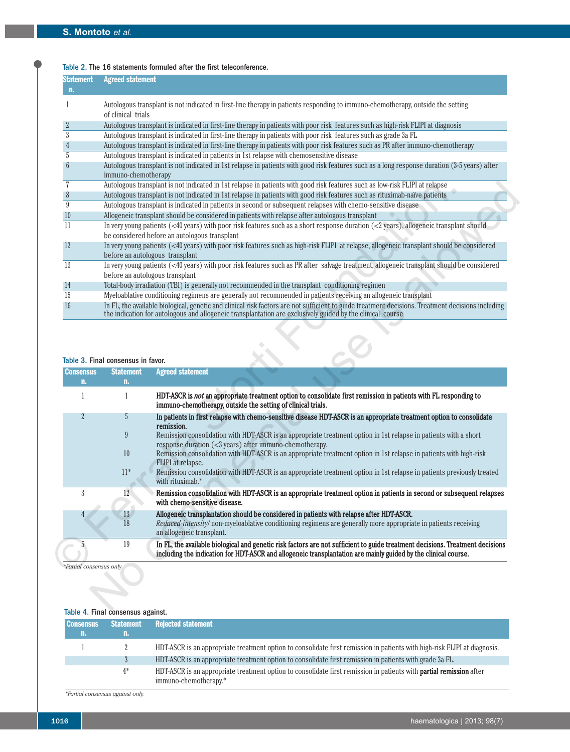# Table 2. The 16 statements formuled after the first teleconference.

| <b>Statement</b><br>n. | <b>Agreed statement</b>                                                                                                                                                                                                                                         |
|------------------------|-----------------------------------------------------------------------------------------------------------------------------------------------------------------------------------------------------------------------------------------------------------------|
|                        | Autologous transplant is not indicated in first-line therapy in patients responding to immuno-chemotherapy, outside the setting<br>of clinical trials                                                                                                           |
| $\overline{2}$         | Autologous transplant is indicated in first-line therapy in patients with poor risk features such as high-risk FLIPI at diagnosis                                                                                                                               |
| 3                      | Autologous transplant is indicated in first-line therapy in patients with poor risk features such as grade 3a FL                                                                                                                                                |
| 4                      | Autologous transplant is indicated in first-line therapy in patients with poor risk features such as PR after immuno-chemotherapy                                                                                                                               |
| 5                      | Autologous transplant is indicated in patients in 1st relapse with chemosensitive disease                                                                                                                                                                       |
| $\mathfrak b$          | Autologous transplant is not indicated in 1st relapse in patients with good risk features such as a long response duration (3-5 years) after<br>immuno-chemotherapy                                                                                             |
|                        | Autologous transplant is not indicated in 1st relapse in patients with good risk features such as low-risk FLIPI at relapse                                                                                                                                     |
| 8                      | Autologous transplant is not indicated in 1st relapse in patients with good risk features such as rituximab-naïve patients                                                                                                                                      |
| 9                      | Autologous transplant is indicated in patients in second or subsequent relapses with chemo-sensitive disease                                                                                                                                                    |
| 10                     | Allogeneic transplant should be considered in patients with relapse after autologous transplant                                                                                                                                                                 |
| 11                     | In very young patients (<40 years) with poor risk features such as a short response duration (<2 years), allogeneic transplant should<br>be considered before an autologous transplant                                                                          |
| 12                     | In very young patients (<40 years) with poor risk features such as high-risk FLIPI at relapse, allogeneic transplant should be considered<br>before an autologous transplant                                                                                    |
| 13                     | In very young patients (<40 years) with poor risk features such as PR after salvage treatment, allogeneic transplant should be considered<br>before an autologous transplant                                                                                    |
| 14                     | Total-body irradiation (TBI) is generally not recommended in the transplant conditioning regimen                                                                                                                                                                |
| 15                     | Myeloablative conditioning regimens are generally not recommended in patients receiving an allogeneic transplant                                                                                                                                                |
| 16                     | In FL, the available biological, genetic and clinical risk factors are not sufficient to guide treatment decisions. Treatment decisions including<br>the indication for autologous and allogeneic transplantation are exclusively guided by the clinical course |

### Table 3. Final consensus in favor.

| 8               |                                    | Autologous transplant is not indicated in 1st relapse in patients with good risk features such as low-risk FLIPI at relapse                                                                                                                                     |
|-----------------|------------------------------------|-----------------------------------------------------------------------------------------------------------------------------------------------------------------------------------------------------------------------------------------------------------------|
|                 |                                    | Autologous transplant is not indicated in 1st relapse in patients with good risk features such as rituximab-naïve patients                                                                                                                                      |
| 9               |                                    | Autologous transplant is indicated in patients in second or subsequent relapses with chemo-sensitive disease                                                                                                                                                    |
| 10              |                                    | Allogeneic transplant should be considered in patients with relapse after autologous transplant                                                                                                                                                                 |
| 11              |                                    | In very young patients (<40 years) with poor risk features such as a short response duration (<2 years), allogeneic transplant should                                                                                                                           |
|                 |                                    | be considered before an autologous transplant                                                                                                                                                                                                                   |
| 12              |                                    | In very young patients (<40 years) with poor risk features such as high-risk FLIPI at relapse, allogeneic transplant should be considered<br>before an autologous transplant                                                                                    |
| 13              |                                    | In very young patients (<40 years) with poor risk features such as PR after salvage treatment, allogeneic transplant should be considered                                                                                                                       |
|                 |                                    | before an autologous transplant                                                                                                                                                                                                                                 |
| 14              |                                    | Total-body irradiation (TBI) is generally not recommended in the transplant conditioning regimen                                                                                                                                                                |
| $\overline{15}$ |                                    | Myeloablative conditioning regimens are generally not recommended in patients receiving an allogeneic transplant                                                                                                                                                |
| 16              |                                    | In FL, the available biological, genetic and clinical risk factors are not sufficient to guide treatment decisions. Treatment decisions including<br>the indication for autologous and allogeneic transplantation are exclusively guided by the clinical course |
|                 |                                    |                                                                                                                                                                                                                                                                 |
|                 | Table 3. Final consensus in favor. |                                                                                                                                                                                                                                                                 |
| Consensus       |                                    |                                                                                                                                                                                                                                                                 |
| n.              | <b>Statement</b><br>n.             | <b>Agreed statement</b>                                                                                                                                                                                                                                         |
| $\mathbf{1}$    | $\mathbf{1}$                       | HDT-ASCR is not an appropriate treatment option to consolidate first remission in patients with FL responding to<br>immuno-chemotherapy, outside the setting of clinical trials.                                                                                |
| $\overline{2}$  | 5                                  | In patients in first relapse with chemo-sensitive disease HDT-ASCR is an appropriate treatment option to consolidate                                                                                                                                            |
|                 | 9                                  | remission.<br>Remission consolidation with HDT-ASCR is an appropriate treatment option in 1st relapse in patients with a short                                                                                                                                  |
|                 | 10                                 | response duration (<3 years) after immuno-chemotherapy.<br>Remission consolidation with HDT-ASCR is an appropriate treatment option in 1st relapse in patients with high-risk                                                                                   |
|                 | $11*$                              | FLIPI at relapse.<br>Remission consolidation with HDT-ASCR is an appropriate treatment option in 1st relapse in patients previously treated<br>with rituximab.*                                                                                                 |
| 3               | 12                                 | with chemo-sensitive disease.                                                                                                                                                                                                                                   |
|                 |                                    | Remission consolidation with HDT-ASCR is an appropriate treatment option in patients in second or subsequent relapses                                                                                                                                           |
|                 | 13<br>18                           | Allogeneic transplantation should be considered in patients with relapse after HDT-ASCR.<br>Reduced-intensity/ non-myeloablative conditioning regimens are generally more appropriate in patients receiving<br>an allogeneic transplant.                        |

# Table 4. Final consensus against.

| <b>Consensus</b><br>n. | <b>Statement</b><br>n. | <b>Rejected statement</b>                                                                                                                           |
|------------------------|------------------------|-----------------------------------------------------------------------------------------------------------------------------------------------------|
|                        | 2                      | HDT-ASCR is an appropriate treatment option to consolidate first remission in patients with high-risk FLIPI at diagnosis.                           |
|                        | 3                      | HDT-ASCR is an appropriate treatment option to consolidate first remission in patients with grade 3a FL.                                            |
|                        | $4*$                   | HDT-ASCR is an appropriate treatment option to consolidate first remission in patients with <b>partial remission</b> after<br>immuno-chemotherapy.* |

*\*Partial consensus against only.*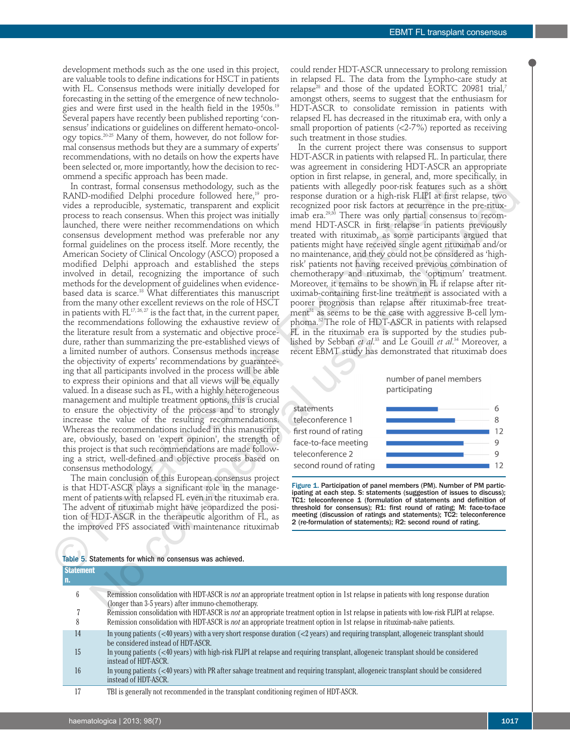development methods such as the one used in this project, are valuable tools to define indications for HSCT in patients with FL. Consensus methods were initially developed for forecasting in the setting of the emergence of new technologies and were first used in the health field in the 1950s.19 Several papers have recently been published reporting 'consensus' indications or guidelines on different hemato-oncology topics.20-25 Many of them, however, do not follow formal consensus methods but they are a summary of experts' recommendations, with no details on how the experts have been selected or, more importantly, how the decision to recommend a specific approach has been made.

In contrast, formal consensus methodology, such as the RAND-modified Delphi procedure followed here,<sup>19</sup> provides a reproducible, systematic, transparent and explicit process to reach consensus. When this project was initially launched, there were neither recommendations on which consensus development method was preferable nor any formal guidelines on the process itself. More recently, the American Society of Clinical Oncology (ASCO) proposed a modified Delphi approach and established the steps involved in detail, recognizing the importance of such methods for the development of guidelines when evidencebased data is scarce.18 What differentiates this manuscript from the many other excellent reviews on the role of HSCT in patients with  $FL^{17, 26, 27}$  is the fact that, in the current paper, the recommendations following the exhaustive review of the literature result from a systematic and objective procedure, rather than summarizing the pre-established views of a limited number of authors. Consensus methods increase the objectivity of experts' recommendations by guaranteeing that all participants involved in the process will be able to express their opinions and that all views will be equally valued. In a disease such as FL, with a highly heterogeneous management and multiple treatment options, this is crucial to ensure the objectivity of the process and to strongly increase the value of the resulting recommendations. Whereas the recommendations included in this manuscript are, obviously, based on 'expert opinion', the strength of this project is that such recommendations are made following a strict, well-defined and objective process based on consensus methodology. In contrast, formula Cousseau methodology, such as the pointer, with allegedly proceeds a reproduction, spectral storting in the control of the spectral storting and the spectral storting in the spectral store and the poi strain, formula methodology, used as the pointer several methodology approximation in the specific specific specific specific specific specific specific specific specific specific specific specific specific specific speci

The main conclusion of this European consensus project is that HDT-ASCR plays a significant role in the management of patients with relapsed FL even in the rituximab era. The advent of rituximab might have jeopardized the position of HDT-ASCR in the therapeutic algorithm of FL, as the improved PFS associated with maintenance rituximab

could render HDT-ASCR unnecessary to prolong remission in relapsed FL. The data from the Lympho-care study at relapse<sup>28</sup> and those of the updated EORTC 20981 trial,<sup>7</sup> amongst others, seems to suggest that the enthusiasm for HDT-ASCR to consolidate remission in patients with relapsed FL has decreased in the rituximab era, with only a small proportion of patients (<2-7%) reported as receiving such treatment in those studies.

In the current project there was consensus to support HDT-ASCR in patients with relapsed FL. In particular, there was agreement in considering HDT-ASCR an appropriate option in first relapse, in general, and, more specifically, in patients with allegedly poor-risk features such as a short response duration or a high-risk FLIPI at first relapse, two recognized poor risk factors at recurrence in the pre-rituximab era.29,30 There was only partial consensus to recommend HDT-ASCR in first relapse in patients previously treated with rituximab, as some participants argued that patients might have received single agent rituximab and/or no maintenance, and they could not be considered as 'highrisk' patients not having received previous combination of chemotherapy and rituximab, the 'optimum' treatment. Moreover, it remains to be shown in FL if relapse after rituximab-containing first-line treatment is associated with a poorer prognosis than relapse after rituximab-free treatment $31$  as seems to be the case with aggressive B-cell lymphoma.32 The role of HDT-ASCR in patients with relapsed FL in the rituximab era is supported by the studies published by Sebban *et al*.<sup>33</sup> and Le Gouill *et al*.<sup>34</sup> Moreover, a recent EBMT study has demonstrated that rituximab does



Figure 1. Participation of panel members (PM). Number of PM participating at each step. S: statements (suggestion of issues to discuss); TC1: teleconference 1 (formulation of statements and definition of threshold for consensus); R1: first round of rating; M: face-to-face meeting (discussion of ratings and statements); TC2: teleconference 2 (re-formulation of statements); R2: second round of rating.

|                        | Table 5. Statements for which no consensus was achieved.                                                                                                                                                                                                            |
|------------------------|---------------------------------------------------------------------------------------------------------------------------------------------------------------------------------------------------------------------------------------------------------------------|
| <b>Statement</b><br>n. |                                                                                                                                                                                                                                                                     |
| 6                      | Remission consolidation with HDT-ASCR is not an appropriate treatment option in 1st relapse in patients with long response duration<br>(longer than 3-5 years) after immuno-chemotherapy.                                                                           |
| 8                      | Remission consolidation with HDT-ASCR is not an appropriate treatment option in 1st relapse in patients with low-risk FLIPI at relapse.<br>Remission consolidation with HDT-ASCR is not an appropriate treatment option in 1st relapse in rituximab-naïve patients. |
| 14                     | In young patients $(\leq 40 \text{ years})$ with a very short response duration $(\leq 2 \text{ years})$ and requiring transplant, allogeneic transplant should<br>be considered instead of HDT-ASCR.                                                               |
| 15                     | In young patients (<40 years) with high-risk FLIPI at relapse and requiring transplant, allogeneic transplant should be considered<br>instead of HDT-ASCR.                                                                                                          |
| 16                     | In young patients (<40 years) with PR after salvage treatment and requiring transplant, allogeneic transplant should be considered<br>instead of HDT-ASCR.                                                                                                          |
| 17                     | TBI is generally not recommended in the transplant conditioning regimen of HDT-ASCR.                                                                                                                                                                                |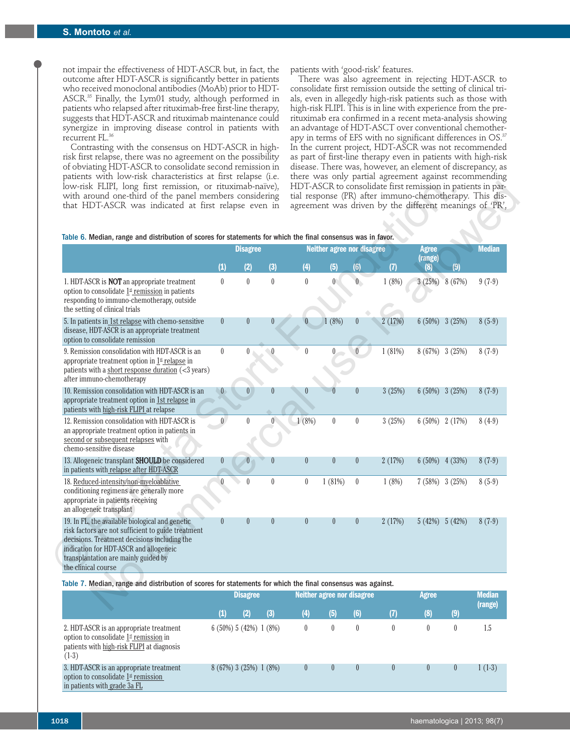not impair the effectiveness of HDT-ASCR but, in fact, the outcome after HDT-ASCR is significantly better in patients who received monoclonal antibodies (MoAb) prior to HDT-ASCR.35 Finally, the Lym01 study, although performed in patients who relapsed after rituximab-free first-line therapy, suggests that HDT-ASCR and rituximab maintenance could synergize in improving disease control in patients with recurrent FL.36

Contrasting with the consensus on HDT-ASCR in highrisk first relapse, there was no agreement on the possibility of obviating HDT-ASCR to consolidate second remission in patients with low-risk characteristics at first relapse (i.e. low-risk FLIPI, long first remission, or rituximab-naïve), with around one-third of the panel members considering that HDT-ASCR was indicated at first relapse even in patients with 'good-risk' features.

There was also agreement in rejecting HDT-ASCR to consolidate first remission outside the setting of clinical trials, even in allegedly high-risk patients such as those with high-risk FLIPI. This is in line with experience from the prerituximab era confirmed in a recent meta-analysis showing an advantage of HDT-ASCT over conventional chemotherapy in terms of EFS with no significant differences in  $OS^{37}$ In the current project, HDT-ASCR was not recommended as part of first-line therapy even in patients with high-risk disease. There was, however, an element of discrepancy, as there was only partial agreement against recommending HDT-ASCR to consolidate first remission in patients in partial response (PR) after immuno-chemotherapy. This disagreement was driven by the different meanings of 'PR',

# Table 6. Median, range and distribution of scores for statements for which the final consensus was in favor.

|                                                                                                                                                                                                                                                                |                  | <b>Disagree</b>  |                  |          | Neither agree nor disagree |                |        | <b>Agree</b><br>(range) |                      | <b>Median</b> |
|----------------------------------------------------------------------------------------------------------------------------------------------------------------------------------------------------------------------------------------------------------------|------------------|------------------|------------------|----------|----------------------------|----------------|--------|-------------------------|----------------------|---------------|
|                                                                                                                                                                                                                                                                | (1)              | (2)              | (3)              | (4)      | (5)                        | (6)            | (7)    | (8)                     | (9)                  |               |
| 1. HDT-ASCR is <b>NOT</b> an appropriate treatment<br>option to consolidate $1st$ remission in patients<br>responding to immuno-chemotherapy, outside<br>the setting of clinical trials                                                                        | $\bf{0}$         | $\boldsymbol{0}$ | $\boldsymbol{0}$ | $\theta$ |                            | $\overline{0}$ | 1(8%)  | 3(25%)                  | 8 (67%)              | $9(7-9)$      |
| 5. In patients in 1st relapse with chemo-sensitive<br>disease, HDT-ASCR is an appropriate treatment<br>option to consolidate remission                                                                                                                         | $\overline{0}$   | $\overline{0}$   | $\theta$         |          | 1(8%)                      |                | 2(17%) |                         | $6(50\%)$ 3 $(25\%)$ | $8(5-9)$      |
| 9. Remission consolidation with HDT-ASCR is an<br>appropriate treatment option in $1^{\text{st}}$ relapse in<br>patients with a short response duration (<3 years)<br>after immuno-chemotherapy                                                                | $\bf{0}$         |                  |                  | $\theta$ |                            |                | 1(81%) |                         | 8 (67%) 3 (25%)      | $8(7-9)$      |
| 10. Remission consolidation with HDT-ASCR is an<br>appropriate treatment option in 1st relapse in<br>patients with high-risk FLIPI at relapse                                                                                                                  | $\mathbf{0}$     | 0.               | $\theta$         | $\theta$ |                            | $\theta$       | 3(25%) |                         | $6(50\%)$ 3 $(25\%)$ | $8(7-9)$      |
| 12. Remission consolidation with HDT-ASCR is<br>an appropriate treatment option in patients in<br>second or subsequent relapses with<br>chemo-sensitive disease                                                                                                | $\theta$         | $\theta$         | $\overline{0}$   | 1(8%)    | $\theta$                   | $\bf{0}$       | 3(25%) |                         | 6 (50%) 2 (17%)      | $8(4-9)$      |
| 13. Allogeneic transplant SHOULD be considered<br>in patients with relapse after HDT-ASCR                                                                                                                                                                      | $\boldsymbol{0}$ | $\theta$         | $\theta$         | $\theta$ | $\theta$                   | $\theta$       | 2(17%) |                         | $6(50\%)$ 4 (33%)    | $8(7-9)$      |
| 18. Reduced-intensity/non-myeloablative<br>conditioning regimens are generally more<br>appropriate in patients receiving<br>an allogeneic transplant                                                                                                           | 0                | $\theta$         | $\mathbf{0}$     | $\theta$ | 1(81%)                     | $\pmb{0}$      | 1(8%)  |                         | $7(58%)$ 3 $(25%)$   | $8(5-9)$      |
| 19. In FL, the available biological and genetic<br>risk factors are not sufficient to guide treatment<br>decisions. Treatment decisions including the<br>indication for HDT-ASCR and allogeneic<br>transplantation are mainly guided by<br>the clinical course | $\theta$         | $\theta$         | $\theta$         | $\theta$ | $\theta$                   | $\theta$       | 2(17%) |                         | $5(42\%)$ $5(42\%)$  | $8(7-9)$      |

#### Table 7. Median, range and distribution of scores for statements for which the final consensus was against.

|                                                                                                                                                                    |                          | <b>Disagree</b> |     |     |                  | Neither agree nor disagree |                   | <b>Agree</b> |          | <b>Median</b> |
|--------------------------------------------------------------------------------------------------------------------------------------------------------------------|--------------------------|-----------------|-----|-----|------------------|----------------------------|-------------------|--------------|----------|---------------|
|                                                                                                                                                                    | $\bf (1)$                | (2)             | (3) | (4) | (5)              | (6)                        | $\left( 7\right)$ | (8)          | (9)      | (range)       |
| 2. HDT-ASCR is an appropriate treatment<br>option to consolidate $1^{\underline{\text{st}}}$ remission in<br>patients with high-risk FLIPI at diagnosis<br>$(1-3)$ | $6(50\%) 5(42\%) 1(8\%)$ |                 |     |     | $\left( \right)$ | $\left( \right)$           | $\left( \right)$  |              | 0        | 1.5           |
| 3. HDT-ASCR is an appropriate treatment<br>option to consolidate $1^{\text{st}}$ remission                                                                         | $8(67%)$ 3 (25%) 1 (8%)  |                 |     |     | $\theta$         | $\left( \right)$           |                   |              | $\theta$ | $1(1-3)$      |
| in patients with grade 3a FL                                                                                                                                       |                          |                 |     |     |                  |                            |                   |              |          |               |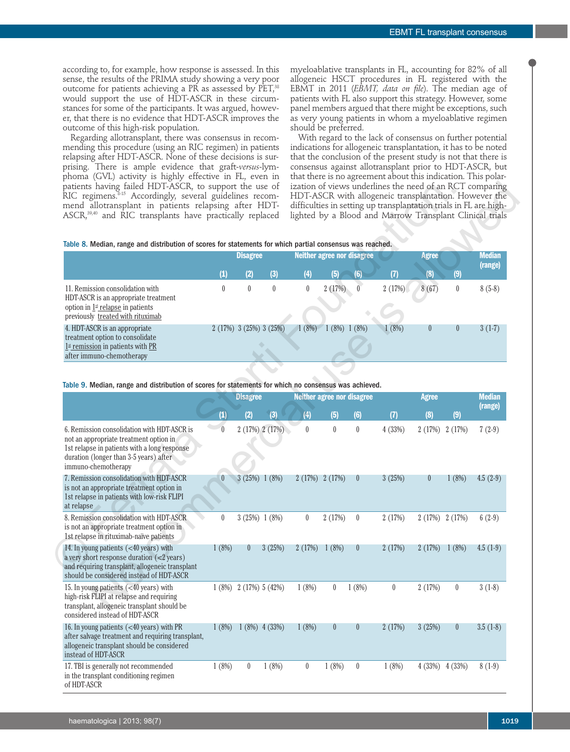according to, for example, how response is assessed. In this sense, the results of the PRIMA study showing a very poor outcome for patients achieving a PR as assessed by PET,<sup>38</sup> would support the use of HDT-ASCR in these circumstances for some of the participants. It was argued, however, that there is no evidence that HDT-ASCR improves the outcome of this high-risk population.

Regarding allotransplant, there was consensus in recommending this procedure (using an RIC regimen) in patients relapsing after HDT-ASCR. None of these decisions is surprising. There is ample evidence that graft-*versus*-lymphoma (GVL) activity is highly effective in FL, even in patients having failed HDT-ASCR, to support the use of RIC regimens.<sup>8-15</sup> Accordingly, several guidelines recommend allotransplant in patients relapsing after HDT-ASCR,<sup>39,40</sup> and RIC transplants have practically replaced myeloablative transplants in FL, accounting for 82% of all allogeneic HSCT procedures in FL registered with the EBMT in 2011 (*EBMT, data on file*). The median age of patients with FL also support this strategy. However, some panel members argued that there might be exceptions, such as very young patients in whom a myeloablative regimen should be preferred.

With regard to the lack of consensus on further potential indications for allogeneic transplantation, it has to be noted that the conclusion of the present study is not that there is consensus against allotransplant prior to HDT-ASCR, but that there is no agreement about this indication. This polarization of views underlines the need of an RCT comparing HDT-ASCR with allogeneic transplantation. However the difficulties in setting up transplantation trials in FL are highlighted by a Blood and Marrow Transplant Clinical trials

## Table 8. Median, range and distribution of scores for statements for which partial consensus was reached.

|                                                                                                                                                                            |          | <b>Disagree</b>              |          |          | <b>Neither agree nor disagree</b> |       |        | Agree |                  | <b>Median</b><br>(range) |
|----------------------------------------------------------------------------------------------------------------------------------------------------------------------------|----------|------------------------------|----------|----------|-----------------------------------|-------|--------|-------|------------------|--------------------------|
|                                                                                                                                                                            | $(1)$    | (2)                          | (3)      | (4)      | (5)                               | (6)   | (7)    | (8)   | (9)              |                          |
| 11. Remission consolidation with<br>HDT-ASCR is an appropriate treatment<br>option in $1^{\underline{\text{st}}}$ relapse in patients<br>previously treated with rituximab | $\theta$ |                              | $\theta$ | $\theta$ | 2(17%)                            |       | 2(17%) | 8(67) | $\boldsymbol{0}$ | $8(5-8)$                 |
| 4. HDT-ASCR is an appropriate<br>treatment option to consolidate<br>$1st$ remission in patients with PR<br>after immuno-chemotherapy                                       |          | $2(17%)$ 3 $(25%)$ 3 $(25%)$ |          | 1(8%)    | (8%)                              | 1(8%) | 1(8%)  |       | $\theta$         | $3(1-7)$                 |

#### Table 9. Median, range and distribution of scores for statements for which no consensus was achieved.

| patients having failed HDT-ASCR, to support the use of<br>RIC regimens. <sup>8.15</sup> Accordingly, several guidelines recom-<br>mend allotransplant in patients relapsing after HDT-<br>ASCR, <sup>39,40</sup> and RIC transplants have practically replaced |              |                  |                             |                  |                   |                                   | ization of views underlines the need of an RCT comparing<br>HDT-ASCR with allogeneic transplantation. However the<br>difficulties in setting up transplantation trials in FL are high-<br>lighted by a Blood and Marrow Transplant Clinical trials |              |                     |                          |
|----------------------------------------------------------------------------------------------------------------------------------------------------------------------------------------------------------------------------------------------------------------|--------------|------------------|-----------------------------|------------------|-------------------|-----------------------------------|----------------------------------------------------------------------------------------------------------------------------------------------------------------------------------------------------------------------------------------------------|--------------|---------------------|--------------------------|
| Table 8. Median, range and distribution of scores for statements for which partial consensus was reached.                                                                                                                                                      |              |                  |                             |                  |                   |                                   |                                                                                                                                                                                                                                                    |              |                     | <b>Median</b>            |
|                                                                                                                                                                                                                                                                |              | <b>Disagree</b>  |                             |                  |                   | <b>Neither agree nor disagree</b> | Agree                                                                                                                                                                                                                                              |              |                     |                          |
|                                                                                                                                                                                                                                                                | (1)          | (2)              | (3)                         | (4)              | (5)               | (6)                               | (7)                                                                                                                                                                                                                                                | (8)          | (9)                 | (range)                  |
| 11. Remission consolidation with<br>HDT-ASCR is an appropriate treatment<br>option in $1^{\underline{s}}$ relapse in patients<br>previously treated with rituximab                                                                                             | $\theta$     | $\theta$         | $\boldsymbol{0}$            | $\mathbf{0}$     | 2(17%)            | $\overline{0}$                    | 2(17%)                                                                                                                                                                                                                                             | 8(67)        | $\bf{0}$            | $8(5-8)$                 |
| 4. HDT-ASCR is an appropriate<br>treatment option to consolidate<br>1 <sup>st</sup> remission in patients with PR                                                                                                                                              |              |                  | $2(17%)$ 3 (25%) 3 (25%)    | 1(8%)            | $1(8\%) 1(8\%)$   |                                   | 1(8%)                                                                                                                                                                                                                                              | $\pmb{0}$    | $\theta$            | $3(1-7)$                 |
| after immuno-chemotherapy                                                                                                                                                                                                                                      |              |                  |                             |                  |                   |                                   |                                                                                                                                                                                                                                                    |              |                     |                          |
| Table 9. Median, range and distribution of scores for statements for which no consensus was achieved.                                                                                                                                                          |              | <b>Disagree</b>  |                             |                  |                   | <b>Neither agree nor disagree</b> |                                                                                                                                                                                                                                                    | <b>Agree</b> |                     | <b>Median</b><br>(range) |
|                                                                                                                                                                                                                                                                | (1)          | (2)              | (3)                         | (4)              | (5)               | (6)                               | (7)                                                                                                                                                                                                                                                | (8)          | (9)                 |                          |
| 6. Remission consolidation with HDT-ASCR is<br>not an appropriate treatment option in<br>1st relapse in patients with a long response<br>duration (longer than 3-5 years) after<br>immuno-chemotherapy                                                         | $\mathbf{0}$ |                  | 2 (17%) 2 (17%)             | $\boldsymbol{0}$ | $\bf{0}$          | $\boldsymbol{0}$                  | 4 (33%)                                                                                                                                                                                                                                            |              | 2 (17%) 2 (17%)     | $7(2-9)$                 |
| 7. Remission consolidation with HDT-ASCR<br>is not an appropriate treatment option in<br>1st relapse in patients with low-risk FLIPI<br>at relapse                                                                                                             | $\pmb{0}$    |                  | $3(25%)$ 1 (8%)             |                  | $2(17%)$ $2(17%)$ | $\theta$                          | 3(25%)                                                                                                                                                                                                                                             | $\bf{0}$     | 1(8%)               | $4.5(2-9)$               |
| 8. Remission consolidation with HDT-ASCR<br>is not an appropriate treatment option in<br>1st relapse in rituximab-naïve patients                                                                                                                               | $\bf{0}$     |                  | $3(25%)$ $1(8%)$            | $\pmb{0}$        | 2(17%)            | $\pmb{0}$                         | 2(17%)                                                                                                                                                                                                                                             |              | 2 (17%) 2 (17%)     | $6(2-9)$                 |
| 14. In young patients (<40 years) with<br>a very short response duration $(<2$ years)<br>and requiring transplant, allogeneic transplant<br>should be considered instead of HDT-ASCR                                                                           | 1(8%)        | $\boldsymbol{0}$ | 3(25%)                      | 2(17%)           | 1(8%)             | $\theta$                          | 2(17%)                                                                                                                                                                                                                                             | 2(17%)       | 1(8%)               | $4.5(1-9)$               |
| 15. In young patients (<40 years) with<br>high-risk FLIPI at relapse and requiring<br>transplant, allogeneic transplant should be<br>considered instead of HDT-ASCR                                                                                            |              |                  | $1(8\%)$ 2 (17%) 5 (42%)    | 1(8%)            | $\boldsymbol{0}$  | 1(8%)                             | $\boldsymbol{0}$                                                                                                                                                                                                                                   | 2(17%)       | $\boldsymbol{0}$    | $3(1-8)$                 |
| 16. In young patients (<40 years) with PR<br>after salvage treatment and requiring transplant,<br>allogeneic transplant should be considered<br>instead of HDT-ASCR                                                                                            |              |                  | $1(8\%)$ $1(8\%)$ $4(33\%)$ | 1(8%)            | $\theta$          | $\theta$                          | 2(17%)                                                                                                                                                                                                                                             | 3(25%)       | $\theta$            | $3.5(1-8)$               |
| 17. TBI is generally not recommended<br>in the transplant conditioning regimen<br>of HDT-ASCR                                                                                                                                                                  | 1(8%)        | $\boldsymbol{0}$ | 1(8%)                       | $\pmb{0}$        | 1(8%)             | $\pmb{0}$                         | 1(8%)                                                                                                                                                                                                                                              |              | $4(33\%)$ $4(33\%)$ | $8(1-9)$                 |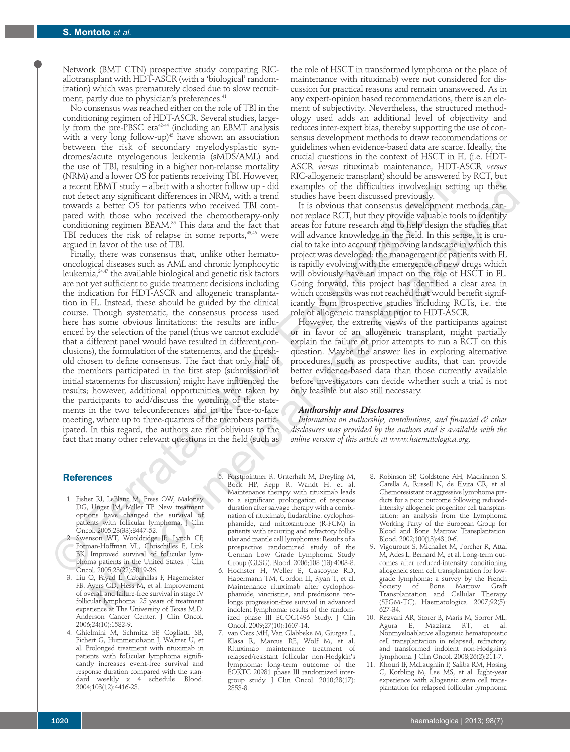Network (BMT CTN) prospective study comparing RICallotransplant with HDT-ASCR (with a 'biological' randomization) which was prematurely closed due to slow recruitment, partly due to physician's preferences.<sup>41</sup>

No consensus was reached either on the role of TBI in the conditioning regimen of HDT-ASCR. Several studies, largely from the pre-PBSC era<sup>42-44</sup> (including an EBMT analysis with a very long follow-up)<sup> $45$ </sup> have shown an association between the risk of secondary myelodysplastic syndromes/acute myelogenous leukemia (sMDS/AML) and the use of TBI, resulting in a higher non-relapse mortality (NRM) and a lower OS for patients receiving TBI. However, a recent EBMT study – albeit with a shorter follow up - did not detect any significant differences in NRM, with a trend towards a better OS for patients who received TBI compared with those who received the chemotherapy-only conditioning regimen BEAM.<sup>35</sup> This data and the fact that TBI reduces the risk of relapse in some reports,<sup>45,46</sup> were argued in favor of the use of TBI.

Finally, there was consensus that, unlike other hematooncological diseases such as AML and chronic lymphocytic leukemia,<sup>24,47</sup> the available biological and genetic risk factors are not yet sufficient to guide treatment decisions including the indication for HDT-ASCR and allogeneic transplantation in FL. Instead, these should be guided by the clinical course. Though systematic, the consensus process used here has some obvious limitations: the results are influenced by the selection of the panel (thus we cannot exclude that a different panel would have resulted in different conclusions), the formulation of the statements, and the threshold chosen to define consensus. The fact that only half of the members participated in the first step (submission of initial statements for discussion) might have influenced the results; however, additional opportunities were taken by the participants to add/discuss the wording of the statements in the two teleconferences and in the face-to-face meeting, where up to three-quarters of the members participated. In this regard, the authors are not oblivious to the fact that many other relevant questions in the field (such as a recent EBMI Tradition in a better the direction in the four terms. The control of the direction involved in the control of the direction in the control of the direction in the control of the control of the control of th EIMIT would contribute the molecule of the diffusion intervention in the same of the same in the same of the same significant difference in NRM, with a trend control is a commercial or the distribution into the component

the role of HSCT in transformed lymphoma or the place of maintenance with rituximab) were not considered for discussion for practical reasons and remain unanswered. As in any expert-opinion based recommendations, there is an element of subjectivity. Nevertheless, the structured methodology used adds an additional level of objectivity and reduces inter-expert bias, thereby supporting the use of consensus development methods to draw recommendations or guidelines when evidence-based data are scarce. Ideally, the crucial questions in the context of HSCT in FL (i.e. HDT-ASCR *versus* rituximab maintenance, HDT-ASCR *versus* RIC-allogeneic transplant) should be answered by RCT, but examples of the difficulties involved in setting up these studies have been discussed previously.

It is obvious that consensus development methods cannot replace RCT, but they provide valuable tools to identify areas for future research and to help design the studies that will advance knowledge in the field. In this sense, it is crucial to take into account the moving landscape in which this project was developed: the management of patients with FL is rapidly evolving with the emergence of new drugs which will obviously have an impact on the role of HSCT in FL. Going forward, this project has identified a clear area in which consensus was not reached that would benefit significantly from prospective studies including RCTs, i.e. the role of allogeneic transplant prior to HDT-ASCR.

However, the extreme views of the participants against or in favor of an allogeneic transplant, might partially explain the failure of prior attempts to run a RCT on this question. Maybe the answer lies in exploring alternative procedures, such as prospective audits, that can provide better evidence-based data than those currently available before investigators can decide whether such a trial is not only feasible but also still necessary.

## *Authorship and Disclosures*

*Information on authorship, contributions, and financial & other disclosures was provided by the authors and is available with the online version of this article at www.haematologica.org.*

## **References**

- 1. Fisher RI, LeBlanc M, Press OW, Maloney DG, Unger JM, Miller TP. New treatment options have changed the survival of patients with follicular lymphoma. J Clin Oncol. 2005;23(33):8447-52.
- 2. Swenson WT, Wooldridge JE, Lynch CF, Forman-Hoffman VL, Chrischilles E, Link BK. Improved survival of follicular lymphoma patients in the United States. J Clin Oncol. 2005;23(22):5019-26.
- 3. Liu Q, Fayad L, Cabanillas F, Hagemeister FB, Ayers GD, Hess M, et al. Improvement of overall and failure-free survival in stage IV follicular lymphoma: 25 years of treatment experience at The University of Texas M.D. Anderson Cancer Center. J Clin Oncol. 2006;24(10):1582-9.
- 4. Ghielmini M, Schmitz SF, Cogliatti SB, Pichert G, Hummerjohann J, Waltzer U, et al. Prolonged treatment with rituximab in patients with follicular lymphoma significantly increases event-free survival and response duration compared with the standard weekly x 4 schedule. Blood. 2004;103(12):4416-23.
- 5. Forstpointner R, Unterhalt M, Dreyling M, Bock HP, Repp R, Wandt H, et al. Maintenance therapy with rituximab leads to a significant prolongation of response duration after salvage therapy with a combination of rituximab, fludarabine, cyclophosphamide, and mitoxantrone (R-FCM) in patients with recurring and refractory follicular and mantle cell lymphomas: Results of a prospective randomized study of the German Low Grade Lymphoma Study Group (GLSG). Blood. 2006;108 (13):4003-8.
- 6. Hochster H, Weller E, Gascoyne RD, Habermann TM, Gordon LI, Ryan T, et al. Maintenance rituximab after cyclophosphamide, vincristine, and prednisone prolongs progression-free survival in advanced indolent lymphoma: results of the randomized phase III ECOG1496 Study. J Clin Oncol. 2009;27(10):1607-14.
- 7. van Oers MH, Van Glabbeke M, Giurgea L, Klasa R, Marcus RE, Wolf M, et al. Rituximab maintenance treatment of relapsed/resistant follicular non-Hodgkin's lymphoma: long-term outcome of the EORTC 20981 phase III randomized intergroup study. J Clin Oncol. 2010;28(17): 2853-8.
- 8. Robinson SP, Goldstone AH, Mackinnon S, Carella A, Russell N, de Elvira CR, et al. Chemoresistant or aggressive lymphoma predicts for a poor outcome following reducedintensity allogeneic progenitor cell transplantation: an analysis from the Lymphoma Working Party of the European Group for Blood and Bone Marrow Transplantation. Blood. 2002;100(13):4310-6.
- 9. Vigouroux S, Michallet M, Porcher R, Attal M, Ades L, Bernard M, et al. Long-term outcomes after reduced-intensity conditioning allogeneic stem cell transplantation for lowgrade lymphoma: a survey by the French Society of Bone Marrow Graft Transplantation and Cellular Therapy (SFGM-TC). Haematologica. 2007;92(5): 627-34.
- 10. Rezvani AR, Storer B, Maris M, Sorror ML,<br>Agura E, Maziarz RT, et al. E, Maziarz RT, et Nonmyeloablative allogeneic hematopoietic cell transplantation in relapsed, refractory, and transformed indolent non-Hodgkin's lymphoma. J Clin Oncol. 2008;26(2):211-7.
- 11. Khouri IF, McLaughlin P, Saliba RM, Hosing C, Korbling M, Lee MS, et al. Eight-year experience with allogeneic stem cell transplantation for relapsed follicular lymphoma